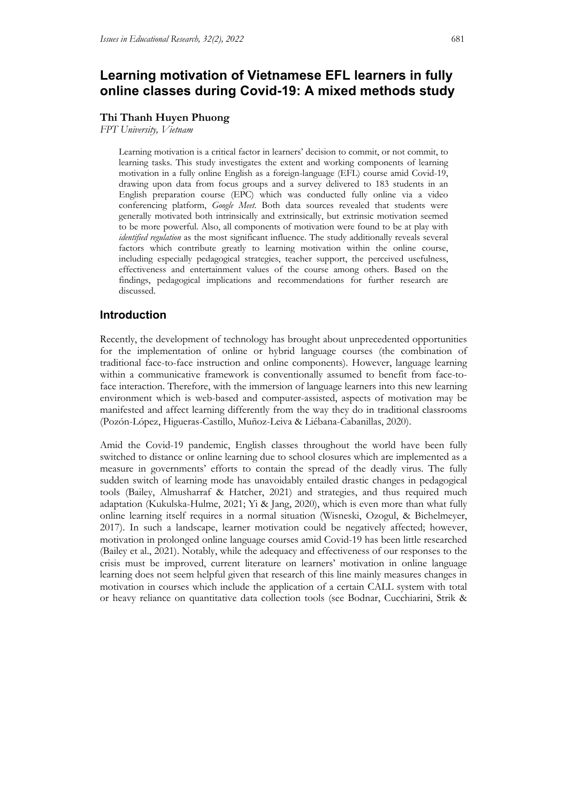# **Learning motivation of Vietnamese EFL learners in fully online classes during Covid-19: A mixed methods study**

### **Thi Thanh Huyen Phuong**

*FPT University, Vietnam*

Learning motivation is a critical factor in learners' decision to commit, or not commit, to learning tasks. This study investigates the extent and working components of learning motivation in a fully online English as a foreign-language (EFL) course amid Covid-19, drawing upon data from focus groups and a survey delivered to 183 students in an English preparation course (EPC) which was conducted fully online via a video conferencing platform, *Google Meet*. Both data sources revealed that students were generally motivated both intrinsically and extrinsically, but extrinsic motivation seemed to be more powerful. Also, all components of motivation were found to be at play with *identified regulation* as the most significant influence. The study additionally reveals several factors which contribute greatly to learning motivation within the online course, including especially pedagogical strategies, teacher support, the perceived usefulness, effectiveness and entertainment values of the course among others. Based on the findings, pedagogical implications and recommendations for further research are discussed.

# **Introduction**

Recently, the development of technology has brought about unprecedented opportunities for the implementation of online or hybrid language courses (the combination of traditional face-to-face instruction and online components). However, language learning within a communicative framework is conventionally assumed to benefit from face-toface interaction. Therefore, with the immersion of language learners into this new learning environment which is web-based and computer-assisted, aspects of motivation may be manifested and affect learning differently from the way they do in traditional classrooms (Pozón-López, Higueras-Castillo, Muñoz-Leiva & Liébana-Cabanillas, 2020).

Amid the Covid-19 pandemic, English classes throughout the world have been fully switched to distance or online learning due to school closures which are implemented as a measure in governments' efforts to contain the spread of the deadly virus. The fully sudden switch of learning mode has unavoidably entailed drastic changes in pedagogical tools (Bailey, Almusharraf & Hatcher, 2021) and strategies, and thus required much adaptation (Kukulska-Hulme, 2021; Yi & Jang, 2020), which is even more than what fully online learning itself requires in a normal situation (Wisneski, Ozogul, & Bichelmeyer, 2017). In such a landscape, learner motivation could be negatively affected; however, motivation in prolonged online language courses amid Covid-19 has been little researched (Bailey et al., 2021). Notably, while the adequacy and effectiveness of our responses to the crisis must be improved, current literature on learners' motivation in online language learning does not seem helpful given that research of this line mainly measures changes in motivation in courses which include the application of a certain CALL system with total or heavy reliance on quantitative data collection tools (see Bodnar, Cucchiarini, Strik &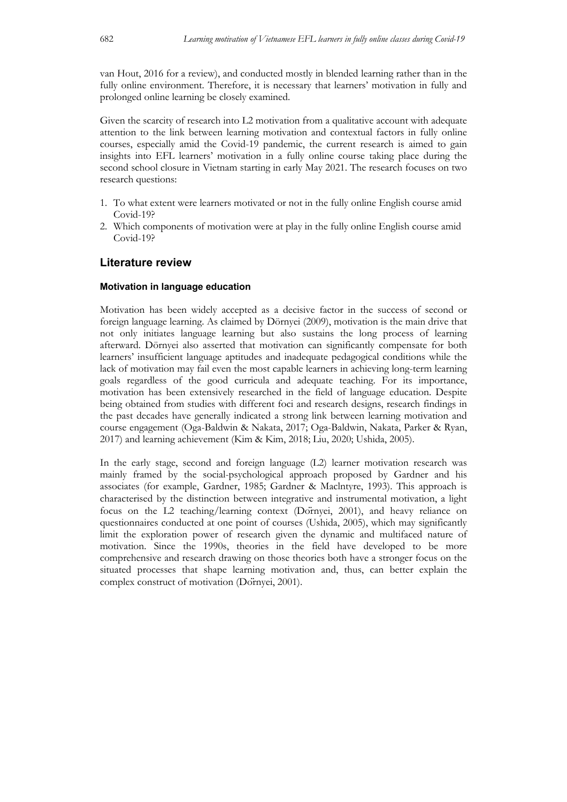van Hout, 2016 for a review), and conducted mostly in blended learning rather than in the fully online environment. Therefore, it is necessary that learners' motivation in fully and prolonged online learning be closely examined.

Given the scarcity of research into L2 motivation from a qualitative account with adequate attention to the link between learning motivation and contextual factors in fully online courses, especially amid the Covid-19 pandemic, the current research is aimed to gain insights into EFL learners' motivation in a fully online course taking place during the second school closure in Vietnam starting in early May 2021. The research focuses on two research questions:

- 1. To what extent were learners motivated or not in the fully online English course amid  $Covid-19$
- 2. Which components of motivation were at play in the fully online English course amid Covid-19?

### **Literature review**

### **Motivation in language education**

Motivation has been widely accepted as a decisive factor in the success of second or foreign language learning. As claimed by Dörnyei (2009), motivation is the main drive that not only initiates language learning but also sustains the long process of learning afterward. Dörnyei also asserted that motivation can significantly compensate for both learners' insufficient language aptitudes and inadequate pedagogical conditions while the lack of motivation may fail even the most capable learners in achieving long-term learning goals regardless of the good curricula and adequate teaching. For its importance, motivation has been extensively researched in the field of language education. Despite being obtained from studies with different foci and research designs, research findings in the past decades have generally indicated a strong link between learning motivation and course engagement (Oga-Baldwin & Nakata, 2017; Oga-Baldwin, Nakata, Parker & Ryan, 2017) and learning achievement (Kim & Kim, 2018; Liu, 2020; Ushida, 2005).

In the early stage, second and foreign language (L2) learner motivation research was mainly framed by the social-psychological approach proposed by Gardner and his associates (for example, Gardner, 1985; Gardner & Maclntyre, 1993). This approach is characterised by the distinction between integrative and instrumental motivation, a light focus on the L2 teaching/learning context (Dörnyei, 2001), and heavy reliance on questionnaires conducted at one point of courses (Ushida, 2005), which may significantly limit the exploration power of research given the dynamic and multifaced nature of motivation. Since the 1990s, theories in the field have developed to be more comprehensive and research drawing on those theories both have a stronger focus on the situated processes that shape learning motivation and, thus, can better explain the complex construct of motivation (Dörnyei, 2001).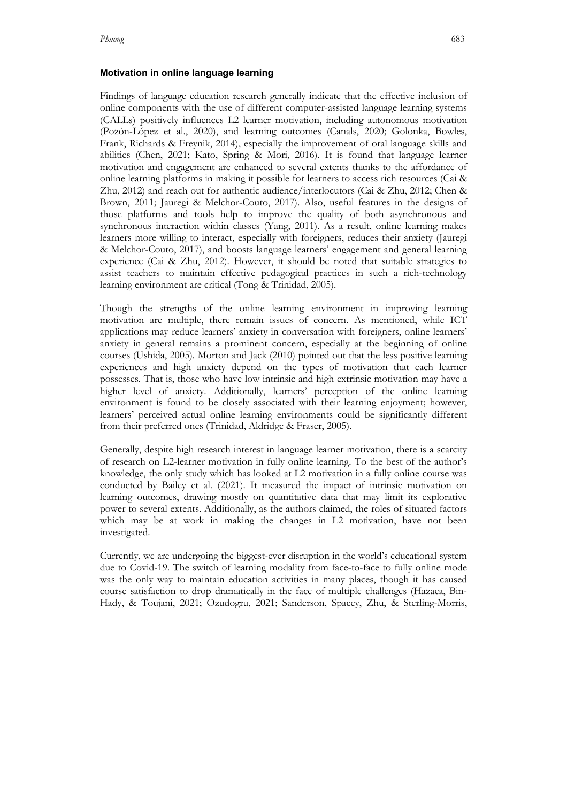#### **Motivation in online language learning**

Findings of language education research generally indicate that the effective inclusion of online components with the use of different computer-assisted language learning systems (CALLs) positively influences L2 learner motivation, including autonomous motivation (Pozón-López et al., 2020), and learning outcomes (Canals, 2020; Golonka, Bowles, Frank, Richards & Freynik, 2014), especially the improvement of oral language skills and abilities (Chen, 2021; Kato, Spring & Mori, 2016). It is found that language learner motivation and engagement are enhanced to several extents thanks to the affordance of online learning platforms in making it possible for learners to access rich resources (Cai & Zhu, 2012) and reach out for authentic audience/interlocutors (Cai & Zhu, 2012; Chen & Brown, 2011; Jauregi & Melchor-Couto, 2017). Also, useful features in the designs of those platforms and tools help to improve the quality of both asynchronous and synchronous interaction within classes (Yang, 2011). As a result, online learning makes learners more willing to interact, especially with foreigners, reduces their anxiety (Jauregi & Melchor-Couto, 2017), and boosts language learners' engagement and general learning experience (Cai & Zhu, 2012). However, it should be noted that suitable strategies to assist teachers to maintain effective pedagogical practices in such a rich-technology learning environment are critical (Tong & Trinidad, 2005).

Though the strengths of the online learning environment in improving learning motivation are multiple, there remain issues of concern. As mentioned, while ICT applications may reduce learners' anxiety in conversation with foreigners, online learners' anxiety in general remains a prominent concern, especially at the beginning of online courses (Ushida, 2005). Morton and Jack (2010) pointed out that the less positive learning experiences and high anxiety depend on the types of motivation that each learner possesses. That is, those who have low intrinsic and high extrinsic motivation may have a higher level of anxiety. Additionally, learners' perception of the online learning environment is found to be closely associated with their learning enjoyment; however, learners' perceived actual online learning environments could be significantly different from their preferred ones (Trinidad, Aldridge & Fraser, 2005).

Generally, despite high research interest in language learner motivation, there is a scarcity of research on L2-learner motivation in fully online learning. To the best of the author's knowledge, the only study which has looked at L2 motivation in a fully online course was conducted by Bailey et al. (2021). It measured the impact of intrinsic motivation on learning outcomes, drawing mostly on quantitative data that may limit its explorative power to several extents. Additionally, as the authors claimed, the roles of situated factors which may be at work in making the changes in L2 motivation, have not been investigated.

Currently, we are undergoing the biggest-ever disruption in the world's educational system due to Covid-19. The switch of learning modality from face-to-face to fully online mode was the only way to maintain education activities in many places, though it has caused course satisfaction to drop dramatically in the face of multiple challenges (Hazaea, Bin-Hady, & Toujani, 2021; Ozudogru, 2021; Sanderson, Spacey, Zhu, & Sterling-Morris,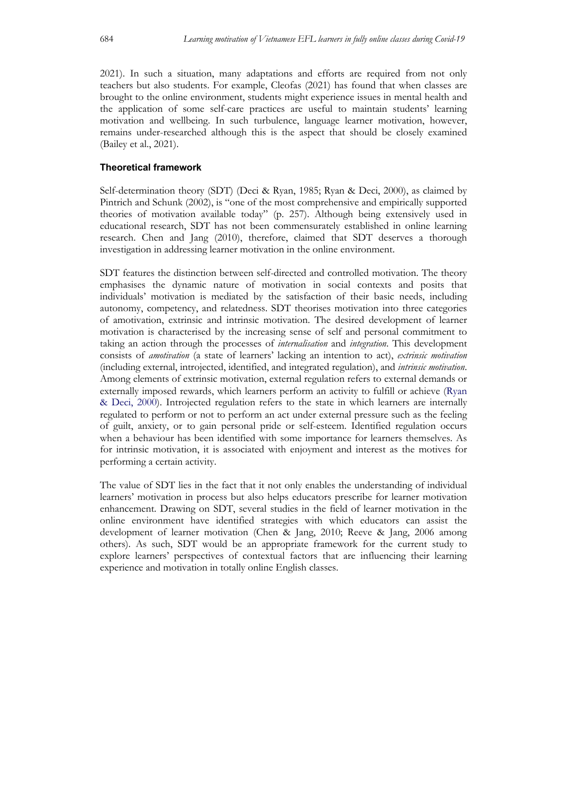2021). In such a situation, many adaptations and efforts are required from not only teachers but also students. For example, Cleofas (2021) has found that when classes are brought to the online environment, students might experience issues in mental health and the application of some self-care practices are useful to maintain students' learning motivation and wellbeing. In such turbulence, language learner motivation, however, remains under-researched although this is the aspect that should be closely examined (Bailey et al., 2021).

## **Theoretical framework**

Self-determination theory (SDT) (Deci & Ryan, 1985; Ryan & Deci, 2000), as claimed by Pintrich and Schunk (2002), is "one of the most comprehensive and empirically supported theories of motivation available today" (p. 257). Although being extensively used in educational research, SDT has not been commensurately established in online learning research. Chen and Jang (2010), therefore, claimed that SDT deserves a thorough investigation in addressing learner motivation in the online environment.

SDT features the distinction between self-directed and controlled motivation. The theory emphasises the dynamic nature of motivation in social contexts and posits that individuals' motivation is mediated by the satisfaction of their basic needs, including autonomy, competency, and relatedness. SDT theorises motivation into three categories of amotivation, extrinsic and intrinsic motivation. The desired development of learner motivation is characterised by the increasing sense of self and personal commitment to taking an action through the processes of *internalisation* and *integration*. This development consists of *amotivation* (a state of learners' lacking an intention to act), *extrinsic motivation* (including external, introjected, identified, and integrated regulation), and *intrinsic motivation*. Among elements of extrinsic motivation, external regulation refers to external demands or externally imposed rewards, which learners perform an activity to fulfill or achieve (Ryan & Deci, 2000). Introjected regulation refers to the state in which learners are internally regulated to perform or not to perform an act under external pressure such as the feeling of guilt, anxiety, or to gain personal pride or self-esteem. Identified regulation occurs when a behaviour has been identified with some importance for learners themselves. As for intrinsic motivation, it is associated with enjoyment and interest as the motives for performing a certain activity.

The value of SDT lies in the fact that it not only enables the understanding of individual learners' motivation in process but also helps educators prescribe for learner motivation enhancement. Drawing on SDT, several studies in the field of learner motivation in the online environment have identified strategies with which educators can assist the development of learner motivation (Chen & Jang, 2010; Reeve & Jang, 2006 among others). As such, SDT would be an appropriate framework for the current study to explore learners' perspectives of contextual factors that are influencing their learning experience and motivation in totally online English classes.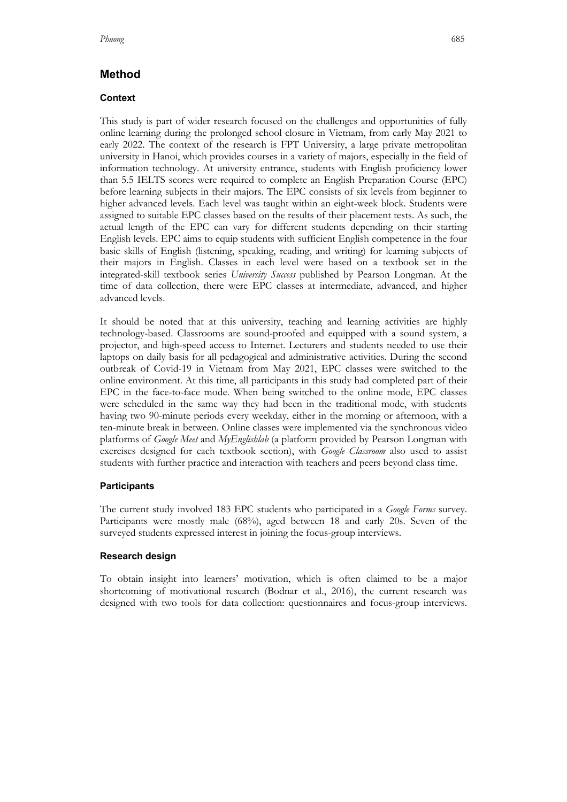# **Method**

## **Context**

This study is part of wider research focused on the challenges and opportunities of fully online learning during the prolonged school closure in Vietnam, from early May 2021 to early 2022. The context of the research is FPT University, a large private metropolitan university in Hanoi, which provides courses in a variety of majors, especially in the field of information technology. At university entrance, students with English proficiency lower than 5.5 IELTS scores were required to complete an English Preparation Course (EPC) before learning subjects in their majors. The EPC consists of six levels from beginner to higher advanced levels. Each level was taught within an eight-week block. Students were assigned to suitable EPC classes based on the results of their placement tests. As such, the actual length of the EPC can vary for different students depending on their starting English levels. EPC aims to equip students with sufficient English competence in the four basic skills of English (listening, speaking, reading, and writing) for learning subjects of their majors in English. Classes in each level were based on a textbook set in the integrated-skill textbook series *University Success* published by Pearson Longman. At the time of data collection, there were EPC classes at intermediate, advanced, and higher advanced levels.

It should be noted that at this university, teaching and learning activities are highly technology-based. Classrooms are sound-proofed and equipped with a sound system, a projector, and high-speed access to Internet. Lecturers and students needed to use their laptops on daily basis for all pedagogical and administrative activities. During the second outbreak of Covid-19 in Vietnam from May 2021, EPC classes were switched to the online environment. At this time, all participants in this study had completed part of their EPC in the face-to-face mode. When being switched to the online mode, EPC classes were scheduled in the same way they had been in the traditional mode, with students having two 90-minute periods every weekday, either in the morning or afternoon, with a ten-minute break in between. Online classes were implemented via the synchronous video platforms of *Google Meet* and *MyEnglishlab* (a platform provided by Pearson Longman with exercises designed for each textbook section), with *Google Classroom* also used to assist students with further practice and interaction with teachers and peers beyond class time.

## **Participants**

The current study involved 183 EPC students who participated in a *Google Forms* survey. Participants were mostly male (68%), aged between 18 and early 20s. Seven of the surveyed students expressed interest in joining the focus-group interviews.

### **Research design**

To obtain insight into learners' motivation, which is often claimed to be a major shortcoming of motivational research (Bodnar et al., 2016), the current research was designed with two tools for data collection: questionnaires and focus-group interviews.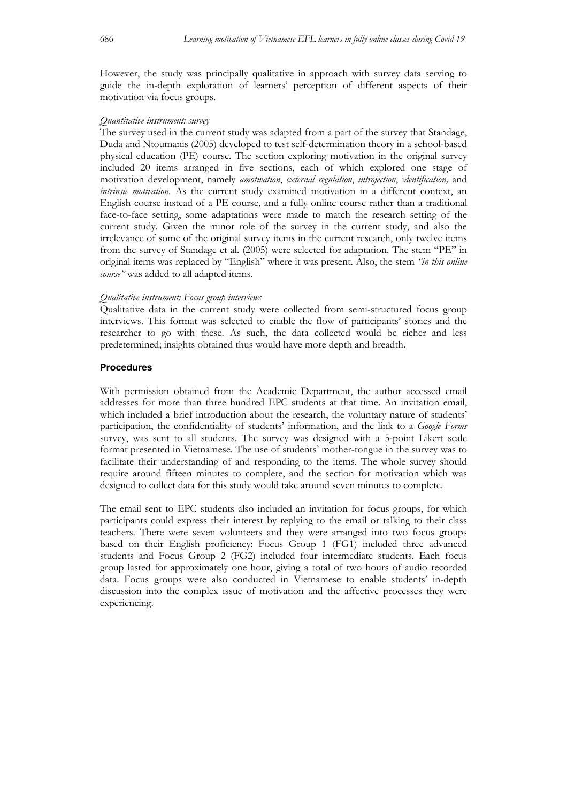However, the study was principally qualitative in approach with survey data serving to guide the in-depth exploration of learners' perception of different aspects of their motivation via focus groups.

#### *Quantitative instrument: survey*

The survey used in the current study was adapted from a part of the survey that Standage, Duda and Ntoumanis (2005) developed to test self-determination theory in a school-based physical education (PE) course. The section exploring motivation in the original survey included 20 items arranged in five sections, each of which explored one stage of motivation development, namely *amotivation*, *external regulation*, *introjection*, i*dentification,* and *intrinsic motivation*. As the current study examined motivation in a different context, an English course instead of a PE course, and a fully online course rather than a traditional face-to-face setting, some adaptations were made to match the research setting of the current study. Given the minor role of the survey in the current study, and also the irrelevance of some of the original survey items in the current research, only twelve items from the survey of Standage et al. (2005) were selected for adaptation. The stem "PE" in original items was replaced by "English" where it was present*.* Also, the stem *"in this online course"* was added to all adapted items.

#### *Qualitative instrument: Focus group interviews*

Qualitative data in the current study were collected from semi-structured focus group interviews. This format was selected to enable the flow of participants' stories and the researcher to go with these. As such, the data collected would be richer and less predetermined; insights obtained thus would have more depth and breadth.

### **Procedures**

With permission obtained from the Academic Department, the author accessed email addresses for more than three hundred EPC students at that time. An invitation email, which included a brief introduction about the research, the voluntary nature of students' participation, the confidentiality of students' information, and the link to a *Google Forms* survey, was sent to all students. The survey was designed with a 5-point Likert scale format presented in Vietnamese. The use of students' mother-tongue in the survey was to facilitate their understanding of and responding to the items. The whole survey should require around fifteen minutes to complete, and the section for motivation which was designed to collect data for this study would take around seven minutes to complete.

The email sent to EPC students also included an invitation for focus groups, for which participants could express their interest by replying to the email or talking to their class teachers. There were seven volunteers and they were arranged into two focus groups based on their English proficiency: Focus Group 1 (FG1) included three advanced students and Focus Group 2 (FG2) included four intermediate students. Each focus group lasted for approximately one hour, giving a total of two hours of audio recorded data. Focus groups were also conducted in Vietnamese to enable students' in-depth discussion into the complex issue of motivation and the affective processes they were experiencing.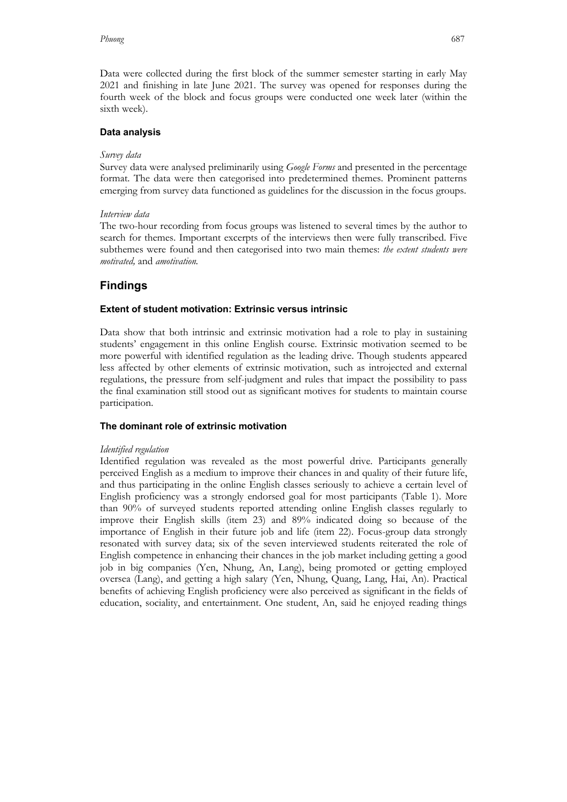Data were collected during the first block of the summer semester starting in early May 2021 and finishing in late June 2021. The survey was opened for responses during the fourth week of the block and focus groups were conducted one week later (within the sixth week).

#### **Data analysis**

#### *Survey data*

Survey data were analysed preliminarily using *Google Forms* and presented in the percentage format. The data were then categorised into predetermined themes. Prominent patterns emerging from survey data functioned as guidelines for the discussion in the focus groups.

### *Interview data*

The two-hour recording from focus groups was listened to several times by the author to search for themes. Important excerpts of the interviews then were fully transcribed. Five subthemes were found and then categorised into two main themes: *the extent students were motivated,* and *amotivation.*

# **Findings**

#### **Extent of student motivation: Extrinsic versus intrinsic**

Data show that both intrinsic and extrinsic motivation had a role to play in sustaining students' engagement in this online English course. Extrinsic motivation seemed to be more powerful with identified regulation as the leading drive. Though students appeared less affected by other elements of extrinsic motivation, such as introjected and external regulations, the pressure from self-judgment and rules that impact the possibility to pass the final examination still stood out as significant motives for students to maintain course participation.

#### **The dominant role of extrinsic motivation**

#### *Identified regulation*

Identified regulation was revealed as the most powerful drive. Participants generally perceived English as a medium to improve their chances in and quality of their future life, and thus participating in the online English classes seriously to achieve a certain level of English proficiency was a strongly endorsed goal for most participants (Table 1). More than 90% of surveyed students reported attending online English classes regularly to improve their English skills (item 23) and 89% indicated doing so because of the importance of English in their future job and life (item 22). Focus-group data strongly resonated with survey data; six of the seven interviewed students reiterated the role of English competence in enhancing their chances in the job market including getting a good job in big companies (Yen, Nhung, An, Lang), being promoted or getting employed oversea (Lang), and getting a high salary (Yen, Nhung, Quang, Lang, Hai, An). Practical benefits of achieving English proficiency were also perceived as significant in the fields of education, sociality, and entertainment. One student, An, said he enjoyed reading things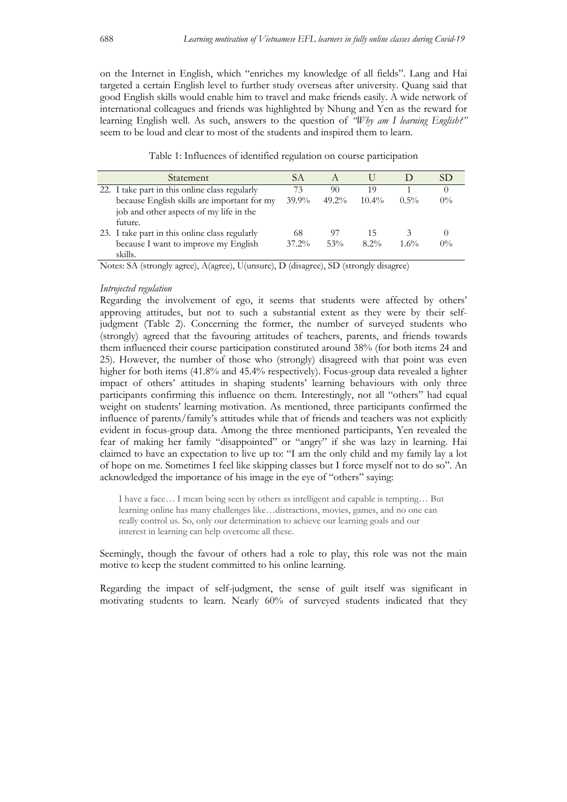on the Internet in English, which "enriches my knowledge of all fields". Lang and Hai targeted a certain English level to further study overseas after university. Quang said that good English skills would enable him to travel and make friends easily. A wide network of international colleagues and friends was highlighted by Nhung and Yen as the reward for learning English well. As such, answers to the question of *"Why am I learning English?"* seem to be loud and clear to most of the students and inspired them to learn.

Table 1: Influences of identified regulation on course participation

| Statement                                      | SА       |          |          |         | SD.   |
|------------------------------------------------|----------|----------|----------|---------|-------|
| 22. I take part in this online class regularly | 73       | 90       | 19       |         |       |
| because English skills are important for my    | $39.9\%$ | $49.2\%$ | $10.4\%$ | $0.5\%$ | $0\%$ |
| job and other aspects of my life in the        |          |          |          |         |       |
| future.                                        |          |          |          |         |       |
| 23. I take part in this online class regularly | 68       | 97       | 15       |         |       |
| because I want to improve my English           | $37.2\%$ | 53%      | $8.2\%$  | $1.6\%$ | $0\%$ |
| skills.                                        |          |          |          |         |       |

Notes: SA (strongly agree), A(agree), U(unsure), D (disagree), SD (strongly disagree)

#### *Introjected regulation*

Regarding the involvement of ego, it seems that students were affected by others' approving attitudes, but not to such a substantial extent as they were by their selfjudgment (Table 2). Concerning the former, the number of surveyed students who (strongly) agreed that the favouring attitudes of teachers, parents, and friends towards them influenced their course participation constituted around 38% (for both items 24 and 25). However, the number of those who (strongly) disagreed with that point was even higher for both items (41.8% and 45.4% respectively). Focus-group data revealed a lighter impact of others' attitudes in shaping students' learning behaviours with only three participants confirming this influence on them. Interestingly, not all "others" had equal weight on students' learning motivation. As mentioned, three participants confirmed the influence of parents/family's attitudes while that of friends and teachers was not explicitly evident in focus-group data. Among the three mentioned participants, Yen revealed the fear of making her family "disappointed" or "angry" if she was lazy in learning. Hai claimed to have an expectation to live up to: "I am the only child and my family lay a lot of hope on me. Sometimes I feel like skipping classes but I force myself not to do so". An acknowledged the importance of his image in the eye of "others" saying:

I have a face… I mean being seen by others as intelligent and capable is tempting… But learning online has many challenges like…distractions, movies, games, and no one can really control us. So, only our determination to achieve our learning goals and our interest in learning can help overcome all these.

Seemingly, though the favour of others had a role to play, this role was not the main motive to keep the student committed to his online learning.

Regarding the impact of self-judgment, the sense of guilt itself was significant in motivating students to learn. Nearly 60% of surveyed students indicated that they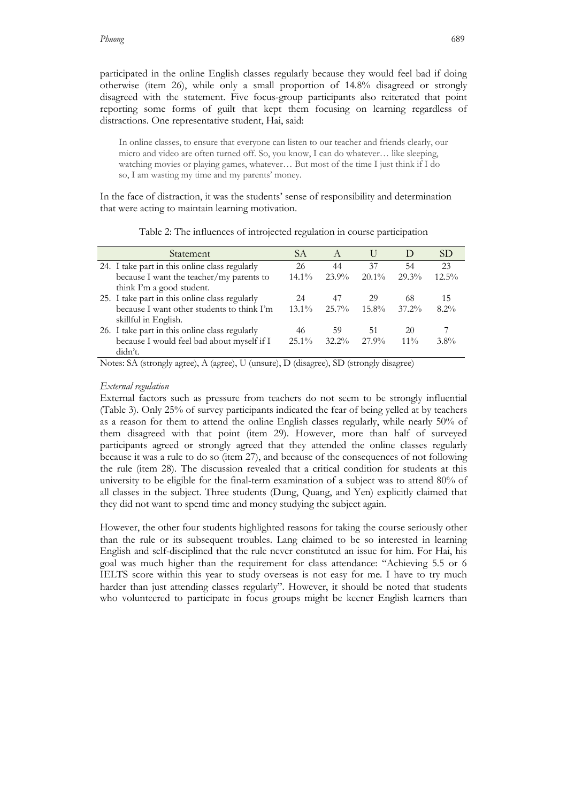participated in the online English classes regularly because they would feel bad if doing otherwise (item 26), while only a small proportion of 14.8% disagreed or strongly disagreed with the statement. Five focus-group participants also reiterated that point reporting some forms of guilt that kept them focusing on learning regardless of distractions. One representative student, Hai, said:

In online classes, to ensure that everyone can listen to our teacher and friends clearly, our micro and video are often turned off. So, you know, I can do whatever… like sleeping, watching movies or playing games, whatever… But most of the time I just think if I do so, I am wasting my time and my parents' money.

In the face of distraction, it was the students' sense of responsibility and determination that were acting to maintain learning motivation.

| Statement                                      | SА       | A        | $\cup$   |          | SD <sub>3</sub> |
|------------------------------------------------|----------|----------|----------|----------|-----------------|
| 24. I take part in this online class regularly | 26       | 44       | 37       | 54       | 23              |
| because I want the teacher/my parents to       | $14.1\%$ | $23.9\%$ | $20.1\%$ | 29.3%    | $12.5\%$        |
| think I'm a good student.                      |          |          |          |          |                 |
| 25. I take part in this online class regularly | 24       | 47       | 29       | 68       | 15              |
| because I want other students to think I'm     | $13.1\%$ | $25.7\%$ | $15.8\%$ | $37.2\%$ | $8.2\%$         |
| skillful in English.                           |          |          |          |          |                 |
| 26. I take part in this online class regularly | 46       | 59       | 51       | 20       |                 |
| because I would feel bad about myself if I     | $25.1\%$ | $32.2\%$ | 27.9%    | $11\%$   | $3.8\%$         |
| didn't.                                        |          |          |          |          |                 |

Table 2: The influences of introjected regulation in course participation

Notes: SA (strongly agree), A (agree), U (unsure), D (disagree), SD (strongly disagree)

#### *External regulation*

External factors such as pressure from teachers do not seem to be strongly influential (Table 3). Only 25% of survey participants indicated the fear of being yelled at by teachers as a reason for them to attend the online English classes regularly, while nearly 50% of them disagreed with that point (item 29). However, more than half of surveyed participants agreed or strongly agreed that they attended the online classes regularly because it was a rule to do so (item 27), and because of the consequences of not following the rule (item 28). The discussion revealed that a critical condition for students at this university to be eligible for the final-term examination of a subject was to attend 80% of all classes in the subject. Three students (Dung, Quang, and Yen) explicitly claimed that they did not want to spend time and money studying the subject again.

However, the other four students highlighted reasons for taking the course seriously other than the rule or its subsequent troubles. Lang claimed to be so interested in learning English and self-disciplined that the rule never constituted an issue for him. For Hai, his goal was much higher than the requirement for class attendance: "Achieving 5.5 or 6 IELTS score within this year to study overseas is not easy for me. I have to try much harder than just attending classes regularly". However, it should be noted that students who volunteered to participate in focus groups might be keener English learners than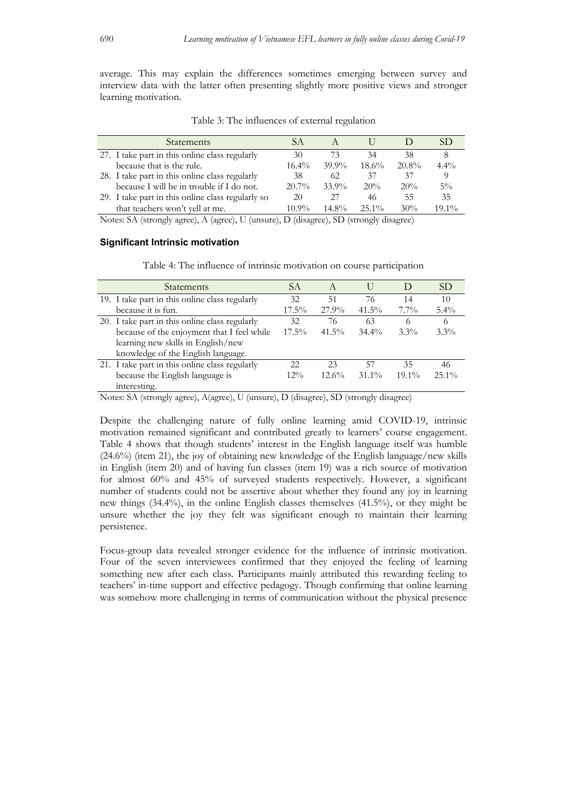average. This may explain the differences sometimes emerging between survey and interview data with the latter often presenting slightly more positive views and stronger learning motivation.

Table 3: The influences of external regulation

| <b>Statements</b>                                 | SА       |          |          |          |          |
|---------------------------------------------------|----------|----------|----------|----------|----------|
| 27. I take part in this online class regularly    | 30       | 73       | 34       | 38       |          |
| because that is the rule.                         | $16.4\%$ | $39.9\%$ | 18.6%    | $20.8\%$ | $4.4\%$  |
| 28. I take part in this online class regularly    | 38       | 62       | 37       | 37       |          |
| because I will be in trouble if I do not.         | $20.7\%$ | 33.9%    | 20%      | 20%      | $5\%$    |
| 29. I take part in this online class regularly so | 20       | 27       | 46       | 55       | 35       |
| that teachers won't yell at me.                   | 10.9%    | $14.8\%$ | $25.1\%$ | 30%      | $19.1\%$ |

Notes: SA (strongly agree), A (agree), U (unsure), D (disagree), SD (strongly disagree)

#### **Significant Intrinsic motivation**

| <b>Statements</b>                              | SА       | $\overline{A}$ |          |          | SD       |
|------------------------------------------------|----------|----------------|----------|----------|----------|
| 19. I take part in this online class regularly | 32       | 51             | 76       | 14       | 10       |
| because it is fun.                             | $17.5\%$ | 27.9%          | $41.5\%$ | $7.7\%$  | $5.4\%$  |
| 20. I take part in this online class regularly | 32       | 76             | 63       | 6        | 6        |
| because of the enjoyment that I feel while     | $17.5\%$ | 41.5%          | $34.4\%$ | $3.3\%$  | $3.3\%$  |
| learning new skills in English/new             |          |                |          |          |          |
| knowledge of the English language.             |          |                |          |          |          |
| 21. I take part in this online class regularly | 22       | 23             | 57       | 35       | 46       |
| because the English language is                | $12\%$   | $12.6\%$       | $31.1\%$ | $19.1\%$ | $25.1\%$ |
| interesting.                                   |          |                |          |          |          |

Table 4: The influence of intrinsic motivation on course participation

Notes: SA (strongly agree), A(agree), U (unsure), D (disagree), SD (strongly disagree)

Despite the challenging nature of fully online learning amid COVID-19, intrinsic motivation remained significant and contributed greatly to learners' course engagement. Table 4 shows that though students' interest in the English language itself was humble (24.6%) (item 21), the joy of obtaining new knowledge of the English language/new skills in English (item 20) and of having fun classes (item 19) was a rich source of motivation for almost 60% and 45% of surveyed students respectively. However, a significant number of students could not be assertive about whether they found any joy in learning new things (34.4%), in the online English classes themselves (41.5%), or they might be unsure whether the joy they felt was significant enough to maintain their learning persistence.

Focus-group data revealed stronger evidence for the influence of intrinsic motivation. Four of the seven interviewees confirmed that they enjoyed the feeling of learning something new after each class. Participants mainly attributed this rewarding feeling to teachers' in-time support and effective pedagogy. Though confirming that online learning was somehow more challenging in terms of communication without the physical presence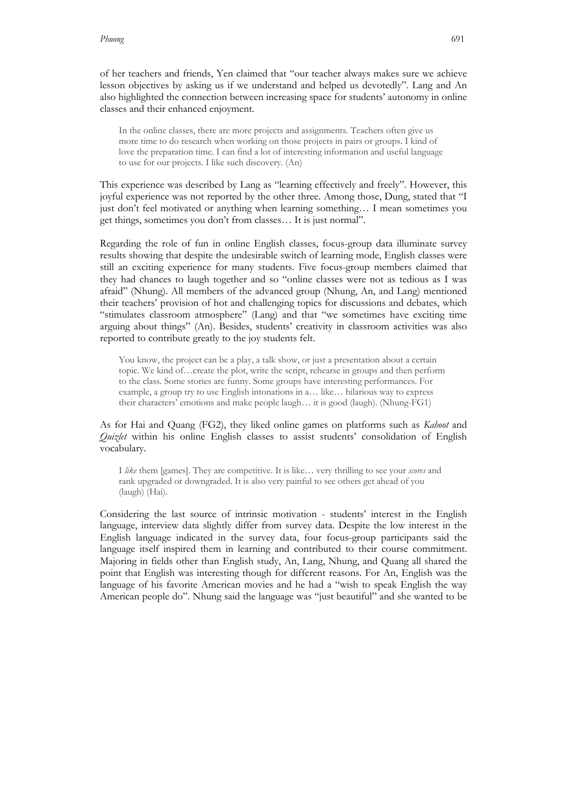of her teachers and friends, Yen claimed that "our teacher always makes sure we achieve lesson objectives by asking us if we understand and helped us devotedly". Lang and An also highlighted the connection between increasing space for students' autonomy in online classes and their enhanced enjoyment.

In the online classes, there are more projects and assignments. Teachers often give us more time to do research when working on those projects in pairs or groups. I kind of love the preparation time. I can find a lot of interesting information and useful language to use for our projects. I like such discovery. (An)

This experience was described by Lang as "learning effectively and freely". However, this joyful experience was not reported by the other three. Among those, Dung, stated that "I just don't feel motivated or anything when learning something… I mean sometimes you get things, sometimes you don't from classes… It is just normal".

Regarding the role of fun in online English classes, focus-group data illuminate survey results showing that despite the undesirable switch of learning mode, English classes were still an exciting experience for many students. Five focus-group members claimed that they had chances to laugh together and so "online classes were not as tedious as I was afraid" (Nhung). All members of the advanced group (Nhung, An, and Lang) mentioned their teachers' provision of hot and challenging topics for discussions and debates, which "stimulates classroom atmosphere" (Lang) and that "we sometimes have exciting time arguing about things" (An). Besides, students' creativity in classroom activities was also reported to contribute greatly to the joy students felt.

You know, the project can be a play, a talk show, or just a presentation about a certain topic. We kind of…create the plot, write the script, rehearse in groups and then perform to the class. Some stories are funny. Some groups have interesting performances. For example, a group try to use English intonations in a… like… hilarious way to express their characters' emotions and make people laugh… it is good (laugh). (Nhung-FG1)

### As for Hai and Quang (FG2), they liked online games on platforms such as *Kahoot* and *Quizlet* within his online English classes to assist students' consolidation of English vocabulary.

I *like* them [games]. They are competitive. It is like… very thrilling to see your *scores* and rank upgraded or downgraded. It is also very painful to see others get ahead of you (laugh) (Hai).

Considering the last source of intrinsic motivation - students' interest in the English language, interview data slightly differ from survey data. Despite the low interest in the English language indicated in the survey data, four focus-group participants said the language itself inspired them in learning and contributed to their course commitment. Majoring in fields other than English study, An, Lang, Nhung, and Quang all shared the point that English was interesting though for different reasons. For An, English was the language of his favorite American movies and he had a "wish to speak English the way American people do". Nhung said the language was "just beautiful" and she wanted to be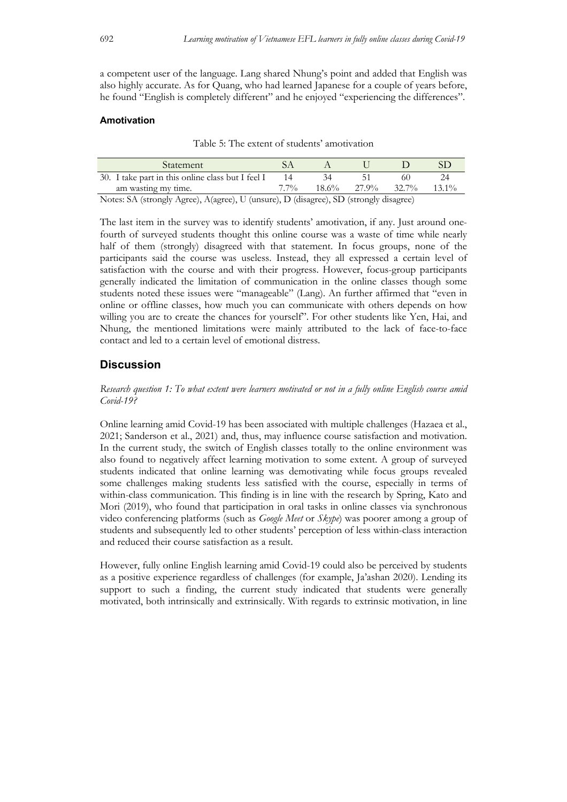a competent user of the language. Lang shared Nhung's point and added that English was also highly accurate. As for Quang, who had learned Japanese for a couple of years before, he found "English is completely different" and he enjoyed "experiencing the differences".

### **Amotivation**

| Table 5: The extent of students' amotivation |  |  |  |  |  |  |  |  |
|----------------------------------------------|--|--|--|--|--|--|--|--|
|----------------------------------------------|--|--|--|--|--|--|--|--|

| Statement                                         |            |          |       |       |          |
|---------------------------------------------------|------------|----------|-------|-------|----------|
| 30. I take part in this online class but I feel I |            |          |       |       |          |
| am wasting my time.                               | $7.7\%$    | $18.6\%$ | 27.9% | 32.7% | $13.1\%$ |
|                                                   | $\sqrt{2}$ |          |       |       |          |

Notes: SA (strongly Agree), A(agree), U (unsure), D (disagree), SD (strongly disagree)

The last item in the survey was to identify students' amotivation, if any. Just around onefourth of surveyed students thought this online course was a waste of time while nearly half of them (strongly) disagreed with that statement. In focus groups, none of the participants said the course was useless. Instead, they all expressed a certain level of satisfaction with the course and with their progress. However, focus-group participants generally indicated the limitation of communication in the online classes though some students noted these issues were "manageable" (Lang). An further affirmed that "even in online or offline classes, how much you can communicate with others depends on how willing you are to create the chances for yourself". For other students like Yen, Hai, and Nhung, the mentioned limitations were mainly attributed to the lack of face-to-face contact and led to a certain level of emotional distress.

## **Discussion**

*Research question 1: To what extent were learners motivated or not in a fully online English course amid Covid-19?*

Online learning amid Covid-19 has been associated with multiple challenges (Hazaea et al., 2021; Sanderson et al., 2021) and, thus, may influence course satisfaction and motivation. In the current study, the switch of English classes totally to the online environment was also found to negatively affect learning motivation to some extent. A group of surveyed students indicated that online learning was demotivating while focus groups revealed some challenges making students less satisfied with the course, especially in terms of within-class communication. This finding is in line with the research by Spring, Kato and Mori (2019), who found that participation in oral tasks in online classes via synchronous video conferencing platforms (such as *Google Meet* or *Skype*) was poorer among a group of students and subsequently led to other students' perception of less within-class interaction and reduced their course satisfaction as a result.

However, fully online English learning amid Covid-19 could also be perceived by students as a positive experience regardless of challenges (for example, Ja'ashan 2020). Lending its support to such a finding, the current study indicated that students were generally motivated, both intrinsically and extrinsically. With regards to extrinsic motivation, in line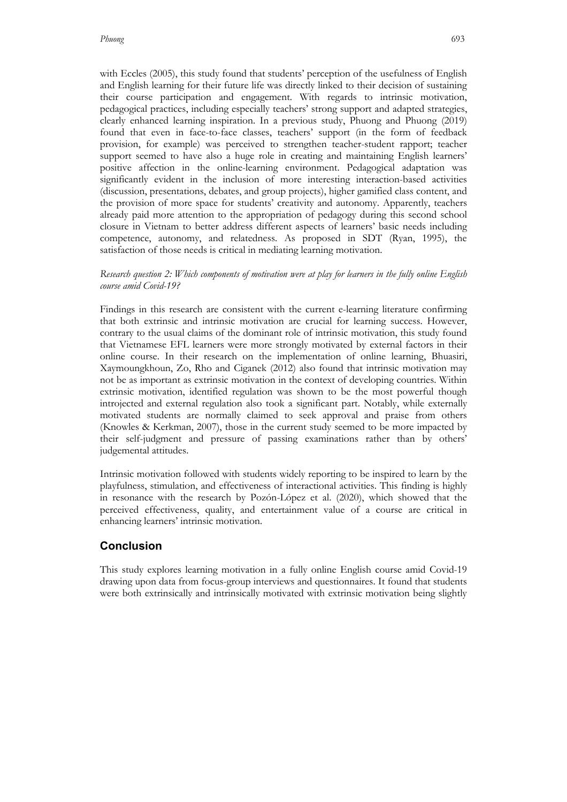with Eccles (2005), this study found that students' perception of the usefulness of English and English learning for their future life was directly linked to their decision of sustaining their course participation and engagement. With regards to intrinsic motivation, pedagogical practices, including especially teachers' strong support and adapted strategies, clearly enhanced learning inspiration. In a previous study, Phuong and Phuong (2019) found that even in face-to-face classes, teachers' support (in the form of feedback provision, for example) was perceived to strengthen teacher-student rapport; teacher support seemed to have also a huge role in creating and maintaining English learners' positive affection in the online-learning environment. Pedagogical adaptation was significantly evident in the inclusion of more interesting interaction-based activities (discussion, presentations, debates, and group projects), higher gamified class content, and the provision of more space for students' creativity and autonomy. Apparently, teachers already paid more attention to the appropriation of pedagogy during this second school closure in Vietnam to better address different aspects of learners' basic needs including competence, autonomy, and relatedness. As proposed in SDT (Ryan, 1995), the satisfaction of those needs is critical in mediating learning motivation.

### *Research question 2: Which components of motivation were at play for learners in the fully online English course amid Covid-19?*

Findings in this research are consistent with the current e-learning literature confirming that both extrinsic and intrinsic motivation are crucial for learning success. However, contrary to the usual claims of the dominant role of intrinsic motivation, this study found that Vietnamese EFL learners were more strongly motivated by external factors in their online course. In their research on the implementation of online learning, Bhuasiri, Xaymoungkhoun, Zo, Rho and Ciganek (2012) also found that intrinsic motivation may not be as important as extrinsic motivation in the context of developing countries. Within extrinsic motivation, identified regulation was shown to be the most powerful though introjected and external regulation also took a significant part. Notably, while externally motivated students are normally claimed to seek approval and praise from others (Knowles & Kerkman, 2007), those in the current study seemed to be more impacted by their self-judgment and pressure of passing examinations rather than by others' judgemental attitudes.

Intrinsic motivation followed with students widely reporting to be inspired to learn by the playfulness, stimulation, and effectiveness of interactional activities. This finding is highly in resonance with the research by Pozón-López et al. (2020), which showed that the perceived effectiveness, quality, and entertainment value of a course are critical in enhancing learners' intrinsic motivation.

# **Conclusion**

This study explores learning motivation in a fully online English course amid Covid-19 drawing upon data from focus-group interviews and questionnaires. It found that students were both extrinsically and intrinsically motivated with extrinsic motivation being slightly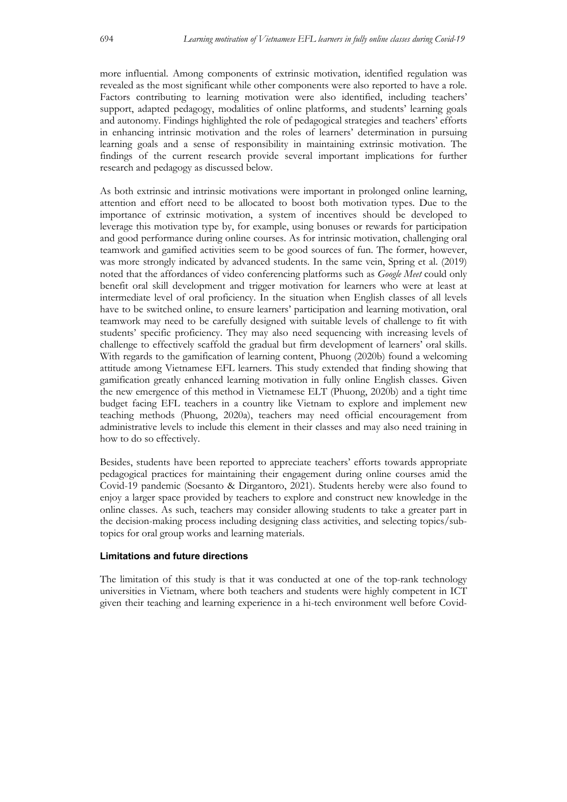more influential. Among components of extrinsic motivation, identified regulation was revealed as the most significant while other components were also reported to have a role. Factors contributing to learning motivation were also identified, including teachers' support, adapted pedagogy, modalities of online platforms, and students' learning goals and autonomy. Findings highlighted the role of pedagogical strategies and teachers' efforts in enhancing intrinsic motivation and the roles of learners' determination in pursuing learning goals and a sense of responsibility in maintaining extrinsic motivation. The findings of the current research provide several important implications for further research and pedagogy as discussed below.

As both extrinsic and intrinsic motivations were important in prolonged online learning, attention and effort need to be allocated to boost both motivation types. Due to the importance of extrinsic motivation, a system of incentives should be developed to leverage this motivation type by, for example, using bonuses or rewards for participation and good performance during online courses. As for intrinsic motivation, challenging oral teamwork and gamified activities seem to be good sources of fun. The former, however, was more strongly indicated by advanced students. In the same vein, Spring et al. (2019) noted that the affordances of video conferencing platforms such as *Google Meet* could only benefit oral skill development and trigger motivation for learners who were at least at intermediate level of oral proficiency. In the situation when English classes of all levels have to be switched online, to ensure learners' participation and learning motivation, oral teamwork may need to be carefully designed with suitable levels of challenge to fit with students' specific proficiency. They may also need sequencing with increasing levels of challenge to effectively scaffold the gradual but firm development of learners' oral skills. With regards to the gamification of learning content, Phuong (2020b) found a welcoming attitude among Vietnamese EFL learners. This study extended that finding showing that gamification greatly enhanced learning motivation in fully online English classes. Given the new emergence of this method in Vietnamese ELT (Phuong, 2020b) and a tight time budget facing EFL teachers in a country like Vietnam to explore and implement new teaching methods (Phuong, 2020a), teachers may need official encouragement from administrative levels to include this element in their classes and may also need training in how to do so effectively.

Besides, students have been reported to appreciate teachers' efforts towards appropriate pedagogical practices for maintaining their engagement during online courses amid the Covid-19 pandemic (Soesanto & Dirgantoro, 2021). Students hereby were also found to enjoy a larger space provided by teachers to explore and construct new knowledge in the online classes. As such, teachers may consider allowing students to take a greater part in the decision-making process including designing class activities, and selecting topics/subtopics for oral group works and learning materials.

### **Limitations and future directions**

The limitation of this study is that it was conducted at one of the top-rank technology universities in Vietnam, where both teachers and students were highly competent in ICT given their teaching and learning experience in a hi-tech environment well before Covid-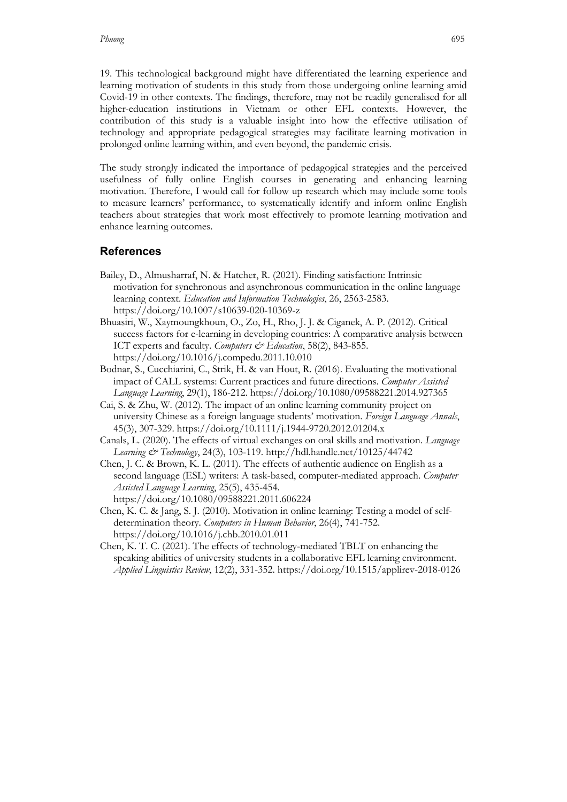19. This technological background might have differentiated the learning experience and learning motivation of students in this study from those undergoing online learning amid Covid-19 in other contexts. The findings, therefore, may not be readily generalised for all higher-education institutions in Vietnam or other EFL contexts. However, the contribution of this study is a valuable insight into how the effective utilisation of technology and appropriate pedagogical strategies may facilitate learning motivation in prolonged online learning within, and even beyond, the pandemic crisis.

The study strongly indicated the importance of pedagogical strategies and the perceived usefulness of fully online English courses in generating and enhancing learning motivation. Therefore, I would call for follow up research which may include some tools to measure learners' performance, to systematically identify and inform online English teachers about strategies that work most effectively to promote learning motivation and enhance learning outcomes.

### **References**

- Bailey, D., Almusharraf, N. & Hatcher, R. (2021). Finding satisfaction: Intrinsic motivation for synchronous and asynchronous communication in the online language learning context. *Education and Information Technologies*, 26, 2563-2583. https://doi.org/10.1007/s10639-020-10369-z
- Bhuasiri, W., Xaymoungkhoun, O., Zo, H., Rho, J. J. & Ciganek, A. P. (2012). Critical success factors for e-learning in developing countries: A comparative analysis between ICT experts and faculty. *Computers & Education*, 58(2), 843-855. https://doi.org/10.1016/j.compedu.2011.10.010
- Bodnar, S., Cucchiarini, C., Strik, H. & van Hout, R. (2016). Evaluating the motivational impact of CALL systems: Current practices and future directions. *Computer Assisted Language Learning*, 29(1), 186-212. https://doi.org/10.1080/09588221.2014.927365
- Cai, S. & Zhu, W. (2012). The impact of an online learning community project on university Chinese as a foreign language students' motivation. *Foreign Language Annals*, 45(3), 307-329. https://doi.org/10.1111/j.1944-9720.2012.01204.x
- Canals, L. (2020). The effects of virtual exchanges on oral skills and motivation. *Language Learning & Technology*, 24(3), 103-119. http://hdl.handle.net/10125/44742
- Chen, J. C. & Brown, K. L. (2011). The effects of authentic audience on English as a second language (ESL) writers: A task-based, computer-mediated approach. *Computer Assisted Language Learning*, 25(5), 435-454. https://doi.org/10.1080/09588221.2011.606224
- Chen, K. C. & Jang, S. J. (2010). Motivation in online learning: Testing a model of selfdetermination theory. *Computers in Human Behavior*, 26(4), 741-752. https://doi.org/10.1016/j.chb.2010.01.011
- Chen, K. T. C. (2021). The effects of technology-mediated TBLT on enhancing the speaking abilities of university students in a collaborative EFL learning environment. *Applied Linguistics Review*, 12(2), 331-352. https://doi.org/10.1515/applirev-2018-0126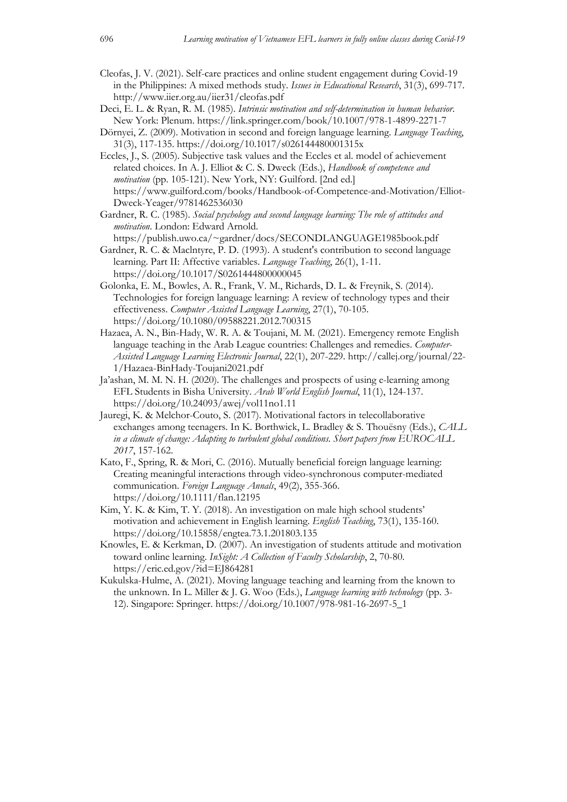- Cleofas, J. V. (2021). Self-care practices and online student engagement during Covid-19 in the Philippines: A mixed methods study. *Issues in Educational Research*, 31(3), 699-717. http://www.iier.org.au/iier31/cleofas.pdf
- Deci, E. L. & Ryan, R. M. (1985). *Intrinsic motivation and self-determination in human behavior*. New York: Plenum. https://link.springer.com/book/10.1007/978-1-4899-2271-7
- Dörnyei, Z. (2009). Motivation in second and foreign language learning. *Language Teaching*, 31(3), 117-135. https://doi.org/10.1017/s026144480001315x
- Eccles, J., S. (2005). Subjective task values and the Eccles et al. model of achievement related choices. In A. J. Elliot & C. S. Dweck (Eds.), *Handbook of competence and motivation* (pp. 105-121). New York, NY: Guilford. [2nd ed.] https://www.guilford.com/books/Handbook-of-Competence-and-Motivation/Elliot-Dweck-Yeager/9781462536030
- Gardner, R. C. (1985). *Social psychology and second language learning: The role of attitudes and motivation*. London: Edward Arnold.
- https://publish.uwo.ca/~gardner/docs/SECONDLANGUAGE1985book.pdf Gardner, R. C. & Maclntyre, P. D. (1993). A student's contribution to second language learning. Part II: Affective variables. *Language Teaching*, 26(1), 1-11. https://doi.org/10.1017/S0261444800000045
- Golonka, E. M., Bowles, A. R., Frank, V. M., Richards, D. L. & Freynik, S. (2014). Technologies for foreign language learning: A review of technology types and their effectiveness. *Computer Assisted Language Learning*, 27(1), 70-105. https://doi.org/10.1080/09588221.2012.700315
- Hazaea, A. N., Bin-Hady, W. R. A. & Toujani, M. M. (2021). Emergency remote English language teaching in the Arab League countries: Challenges and remedies. *Computer-Assisted Language Learning Electronic Journal*, 22(1), 207-229. http://callej.org/journal/22- 1/Hazaea-BinHady-Toujani2021.pdf
- Ja'ashan, M. M. N. H. (2020). The challenges and prospects of using e-learning among EFL Students in Bisha University. *Arab World English Journal*, 11(1), 124-137. https://doi.org/10.24093/awej/vol11no1.11
- Jauregi, K. & Melchor-Couto, S. (2017). Motivational factors in telecollaborative exchanges among teenagers. In K. Borthwick, L. Bradley & S. Thouësny (Eds.), *CALL in a climate of change: Adapting to turbulent global conditions. Short papers from EUROCALL 2017*, 157-162.
- Kato, F., Spring, R. & Mori, C. (2016). Mutually beneficial foreign language learning: Creating meaningful interactions through video-synchronous computer-mediated communication. *Foreign Language Annals*, 49(2), 355-366. https://doi.org/10.1111/flan.12195
- Kim, Y. K. & Kim, T. Y. (2018). An investigation on male high school students' motivation and achievement in English learning. *English Teaching*, 73(1), 135-160. https://doi.org/10.15858/engtea.73.1.201803.135
- Knowles, E. & Kerkman, D. (2007). An investigation of students attitude and motivation toward online learning. *InSight: A Collection of Faculty Scholarship*, 2, 70-80. https://eric.ed.gov/?id=EJ864281
- Kukulska-Hulme, A. (2021). Moving language teaching and learning from the known to the unknown. In L. Miller & J. G. Woo (Eds.), *Language learning with technology* (pp. 3- 12). Singapore: Springer. https://doi.org/10.1007/978-981-16-2697-5\_1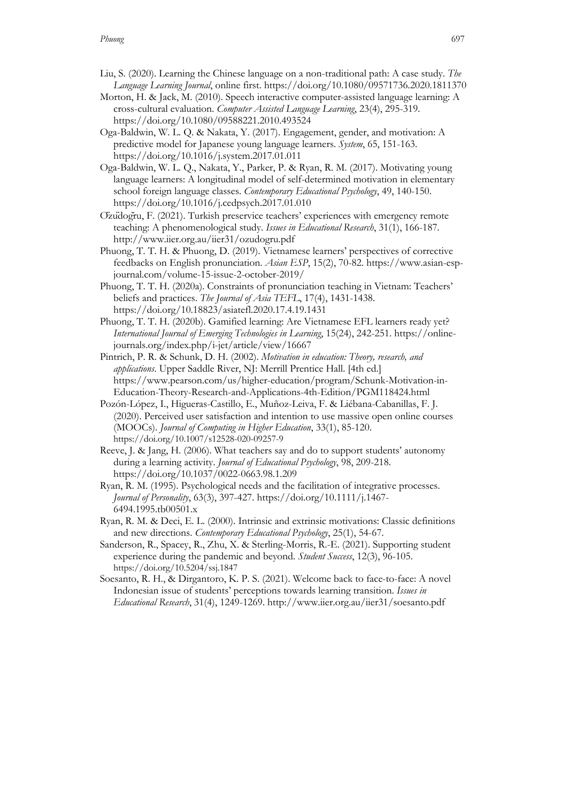- Liu, S. (2020). Learning the Chinese language on a non-traditional path: A case study. *The Language Learning Journal*, online first. https://doi.org/10.1080/09571736.2020.1811370
- Morton, H. & Jack, M. (2010). Speech interactive computer-assisted language learning: A cross-cultural evaluation. *Computer Assisted Language Learning*, 23(4), 295-319. https://doi.org/10.1080/09588221.2010.493524
- Oga-Baldwin, W. L. Q. & Nakata, Y. (2017). Engagement, gender, and motivation: A predictive model for Japanese young language learners. *System*, 65, 151-163. https://doi.org/10.1016/j.system.2017.01.011
- Oga-Baldwin, W. L. Q., Nakata, Y., Parker, P. & Ryan, R. M. (2017). Motivating young language learners: A longitudinal model of self-determined motivation in elementary school foreign language classes. *Contemporary Educational Psychology*, 49, 140-150. https://doi.org/10.1016/j.cedpsych.2017.01.010
- Özüdoğru, F. (2021). Turkish preservice teachers' experiences with emergency remote teaching: A phenomenological study. *Issues in Educational Research*, 31(1), 166-187. http://www.iier.org.au/iier31/ozudogru.pdf
- Phuong, T. T. H. & Phuong, D. (2019). Vietnamese learners' perspectives of corrective feedbacks on English pronunciation. *Asian ESP*, 15(2), 70-82. https://www.asian-espjournal.com/volume-15-issue-2-october-2019/
- Phuong, T. T. H. (2020a). Constraints of pronunciation teaching in Vietnam: Teachers' beliefs and practices. *The Journal of Asia TEFL*, 17(4), 1431-1438. https://doi.org/10.18823/asiatefl.2020.17.4.19.1431
- Phuong, T. T. H. (2020b). Gamified learning: Are Vietnamese EFL learners ready yet? *International Journal of Emerging Technologies in Learning*, 15(24), 242-251. https://onlinejournals.org/index.php/i-jet/article/view/16667
- Pintrich, P. R. & Schunk, D. H. (2002). *Motivation in education: Theory, research, and applications*. Upper Saddle River, NJ: Merrill Prentice Hall. [4th ed.] https://www.pearson.com/us/higher-education/program/Schunk-Motivation-in-Education-Theory-Research-and-Applications-4th-Edition/PGM118424.html
- Pozón-López, I., Higueras-Castillo, E., Muñoz-Leiva, F. & Liébana-Cabanillas, F. J. (2020). Perceived user satisfaction and intention to use massive open online courses (MOOCs). *Journal of Computing in Higher Education*, 33(1), 85-120. https://doi.org/10.1007/s12528-020-09257-9
- Reeve, J. & Jang, H. (2006). What teachers say and do to support students' autonomy during a learning activity. *Journal of Educational Psychology*, 98, 209-218. https://doi.org/10.1037/0022-0663.98.1.209
- Ryan, R. M. (1995). Psychological needs and the facilitation of integrative processes. *Journal of Personality*, 63(3), 397-427. https://doi.org/10.1111/j.1467- 6494.1995.tb00501.x
- Ryan, R. M. & Deci, E. L. (2000). Intrinsic and extrinsic motivations: Classic definitions and new directions. *Contemporary Educational Psychology*, 25(1), 54-67.
- Sanderson, R., Spacey, R., Zhu, X. & Sterling-Morris, R.-E. (2021). Supporting student experience during the pandemic and beyond. *Student Success*, 12(3), 96-105. https://doi.org/10.5204/ssj.1847
- Soesanto, R. H., & Dirgantoro, K. P. S. (2021). Welcome back to face-to-face: A novel Indonesian issue of students' perceptions towards learning transition. *Issues in Educational Research*, 31(4), 1249-1269. http://www.iier.org.au/iier31/soesanto.pdf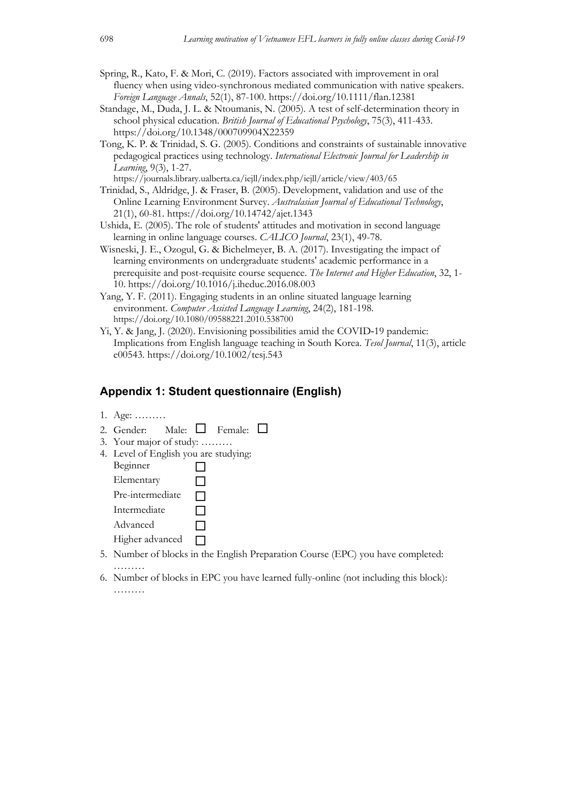- Spring, R., Kato, F. & Mori, C. (2019). Factors associated with improvement in oral fluency when using video-synchronous mediated communication with native speakers. *Foreign Language Annals*, 52(1), 87-100. https://doi.org/10.1111/flan.12381
- Standage, M., Duda, J. L. & Ntoumanis, N. (2005). A test of self-determination theory in school physical education. *British Journal of Educational Psychology*, 75(3), 411-433. https://doi.org/10.1348/000709904X22359
- Tong, K. P. & Trinidad, S. G. (2005). Conditions and constraints of sustainable innovative pedagogical practices using technology. *International Electronic Journal for Leadership in Learning*, 9(3), 1-27.

https://journals.library.ualberta.ca/iejll/index.php/iejll/article/view/403/65

- Trinidad, S., Aldridge, J. & Fraser, B. (2005). Development, validation and use of the Online Learning Environment Survey. *Australasian Journal of Educational Technology*, 21(1), 60-81. https://doi.org/10.14742/ajet.1343
- Ushida, E. (2005). The role of students' attitudes and motivation in second language learning in online language courses. *CALICO Journal*, 23(1), 49-78.
- Wisneski, J. E., Ozogul, G. & Bichelmeyer, B. A. (2017). Investigating the impact of learning environments on undergraduate students' academic performance in a prerequisite and post-requisite course sequence. *The Internet and Higher Education*, 32, 1- 10. https://doi.org/10.1016/j.iheduc.2016.08.003
- Yang, Y. F. (2011). Engaging students in an online situated language learning environment. *Computer Assisted Language Learning*, 24(2), 181-198. https://doi.org/10.1080/09588221.2010.538700
- Yi, Y. & Jang, J. (2020). Envisioning possibilities amid the COVID‐19 pandemic: Implications from English language teaching in South Korea. *Tesol Journal*, 11(3), article e00543. https://doi.org/10.1002/tesj.543

# **Appendix 1: Student questionnaire (English)**

- 1. Age: ………
- 2. Gender: Male:  $\Box$  Female:  $\Box$
- 3. Your major of study: ………
- 4. Level of English you are studying:
	- Beginner  $\Box$ Elementary  $\Box$
	- Pre-intermediate  $\Box$
	- Intermediate  $\Box$
	-
	- $\Box$  Advanced  $\Box$
	- Higher advanced  $\Box$
- 5. Number of blocks in the English Preparation Course (EPC) you have completed: ………
- 6. Number of blocks in EPC you have learned fully-online (not including this block): ………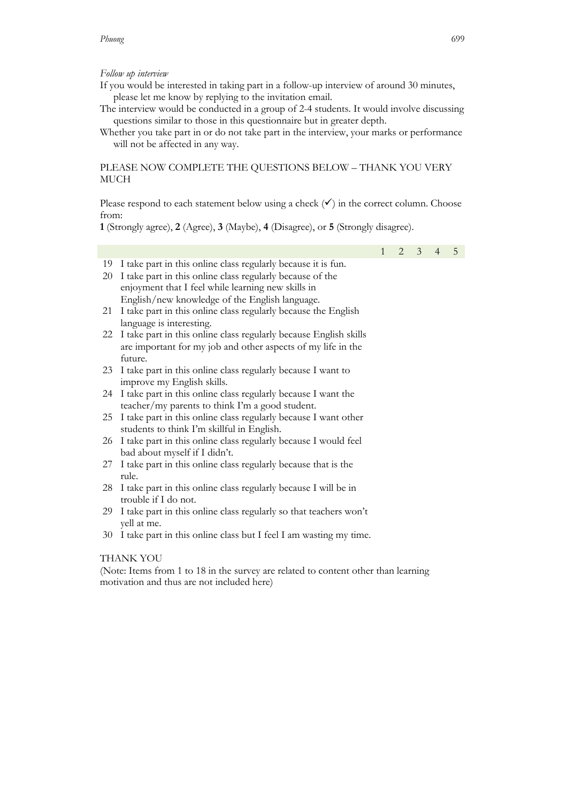#### *Phuong* 699

#### *Follow up interview*

- If you would be interested in taking part in a follow-up interview of around 30 minutes, please let me know by replying to the invitation email.
- The interview would be conducted in a group of 2-4 students. It would involve discussing questions similar to those in this questionnaire but in greater depth.
- Whether you take part in or do not take part in the interview, your marks or performance will not be affected in any way.

## PLEASE NOW COMPLETE THE QUESTIONS BELOW – THANK YOU VERY MUCH

Please respond to each statement below using a check  $(\checkmark)$  in the correct column. Choose from:

**1** (Strongly agree), **2** (Agree), **3** (Maybe), **4** (Disagree), or **5** (Strongly disagree).

1 2 3 4 5 19 I take part in this online class regularly because it is fun. 20 I take part in this online class regularly because of the enjoyment that I feel while learning new skills in English/new knowledge of the English language. 21 I take part in this online class regularly because the English language is interesting. 22 I take part in this online class regularly because English skills are important for my job and other aspects of my life in the future. 23 I take part in this online class regularly because I want to improve my English skills. 24 I take part in this online class regularly because I want the teacher/my parents to think I'm a good student. 25 I take part in this online class regularly because I want other students to think I'm skillful in English. 26 I take part in this online class regularly because I would feel bad about myself if I didn't.

- 27 I take part in this online class regularly because that is the rule.
- 28 I take part in this online class regularly because I will be in trouble if I do not.
- 29 I take part in this online class regularly so that teachers won't yell at me.
- 30 I take part in this online class but I feel I am wasting my time.

#### THANK YOU

(Note: Items from 1 to 18 in the survey are related to content other than learning motivation and thus are not included here)